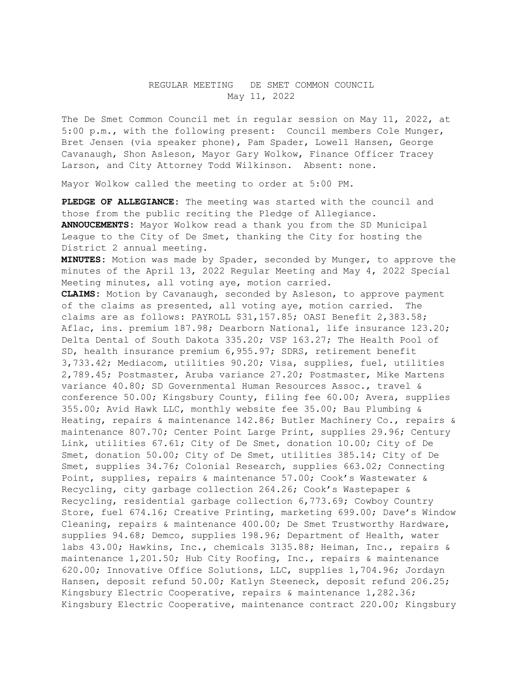## REGULAR MEETING DE SMET COMMON COUNCIL May 11, 2022

The De Smet Common Council met in regular session on May 11, 2022, at 5:00 p.m., with the following present: Council members Cole Munger, Bret Jensen (via speaker phone), Pam Spader, Lowell Hansen, George Cavanaugh, Shon Asleson, Mayor Gary Wolkow, Finance Officer Tracey Larson, and City Attorney Todd Wilkinson. Absent: none.

Mayor Wolkow called the meeting to order at 5:00 PM.

**PLEDGE OF ALLEGIANCE:** The meeting was started with the council and those from the public reciting the Pledge of Allegiance. **ANNOUCEMENTS:** Mayor Wolkow read a thank you from the SD Municipal League to the City of De Smet, thanking the City for hosting the District 2 annual meeting.

**MINUTES:** Motion was made by Spader, seconded by Munger, to approve the minutes of the April 13, 2022 Regular Meeting and May 4, 2022 Special Meeting minutes, all voting aye, motion carried.

**CLAIMS:** Motion by Cavanaugh, seconded by Asleson, to approve payment of the claims as presented, all voting aye, motion carried. The claims are as follows: PAYROLL \$31,157.85; OASI Benefit 2,383.58; Aflac, ins. premium 187.98; Dearborn National, life insurance 123.20; Delta Dental of South Dakota 335.20; VSP 163.27; The Health Pool of SD, health insurance premium 6,955.97; SDRS, retirement benefit 3,733.42; Mediacom, utilities 90.20; Visa, supplies, fuel, utilities 2,789.45; Postmaster, Aruba variance 27.20; Postmaster, Mike Martens variance 40.80; SD Governmental Human Resources Assoc., travel & conference 50.00; Kingsbury County, filing fee 60.00; Avera, supplies 355.00; Avid Hawk LLC, monthly website fee 35.00; Bau Plumbing & Heating, repairs & maintenance 142.86; Butler Machinery Co., repairs & maintenance 807.70; Center Point Large Print, supplies 29.96; Century Link, utilities 67.61; City of De Smet, donation 10.00; City of De Smet, donation 50.00; City of De Smet, utilities 385.14; City of De Smet, supplies 34.76; Colonial Research, supplies 663.02; Connecting Point, supplies, repairs & maintenance 57.00; Cook's Wastewater & Recycling, city garbage collection 264.26; Cook's Wastepaper & Recycling, residential garbage collection 6,773.69; Cowboy Country Store, fuel 674.16; Creative Printing, marketing 699.00; Dave's Window Cleaning, repairs & maintenance 400.00; De Smet Trustworthy Hardware, supplies 94.68; Demco, supplies 198.96; Department of Health, water labs 43.00; Hawkins, Inc., chemicals 3135.88; Heiman, Inc., repairs & maintenance 1,201.50; Hub City Roofing, Inc., repairs & maintenance 620.00; Innovative Office Solutions, LLC, supplies 1,704.96; Jordayn Hansen, deposit refund 50.00; Katlyn Steeneck, deposit refund 206.25; Kingsbury Electric Cooperative, repairs & maintenance 1,282.36; Kingsbury Electric Cooperative, maintenance contract 220.00; Kingsbury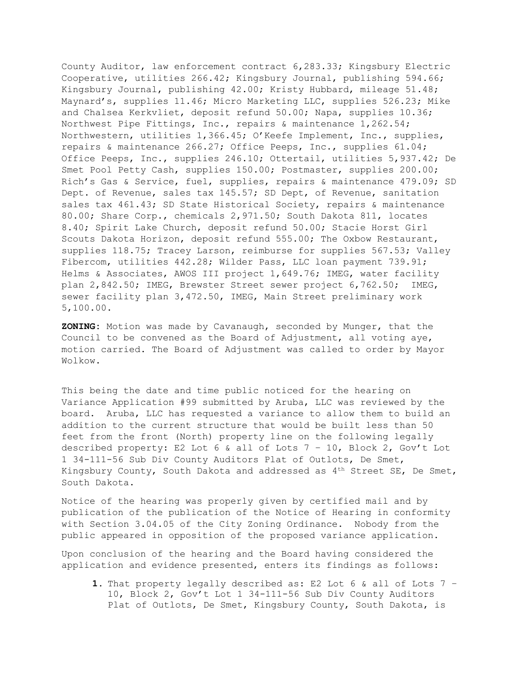County Auditor, law enforcement contract 6,283.33; Kingsbury Electric Cooperative, utilities 266.42; Kingsbury Journal, publishing 594.66; Kingsbury Journal, publishing 42.00; Kristy Hubbard, mileage 51.48; Maynard's, supplies 11.46; Micro Marketing LLC, supplies 526.23; Mike and Chalsea Kerkvliet, deposit refund 50.00; Napa, supplies 10.36; Northwest Pipe Fittings, Inc., repairs & maintenance 1,262.54; Northwestern, utilities 1,366.45; O'Keefe Implement, Inc., supplies, repairs & maintenance 266.27; Office Peeps, Inc., supplies 61.04; Office Peeps, Inc., supplies 246.10; Ottertail, utilities 5,937.42; De Smet Pool Petty Cash, supplies 150.00; Postmaster, supplies 200.00; Rich's Gas & Service, fuel, supplies, repairs & maintenance 479.09; SD Dept. of Revenue, sales tax 145.57; SD Dept, of Revenue, sanitation sales tax 461.43; SD State Historical Society, repairs & maintenance 80.00; Share Corp., chemicals 2,971.50; South Dakota 811, locates 8.40; Spirit Lake Church, deposit refund 50.00; Stacie Horst Girl Scouts Dakota Horizon, deposit refund 555.00; The Oxbow Restaurant, supplies 118.75; Tracey Larson, reimburse for supplies 567.53; Valley Fibercom, utilities 442.28; Wilder Pass, LLC loan payment 739.91; Helms & Associates, AWOS III project 1,649.76; IMEG, water facility plan 2,842.50; IMEG, Brewster Street sewer project 6,762.50; IMEG, sewer facility plan 3,472.50, IMEG, Main Street preliminary work 5,100.00.

**ZONING:** Motion was made by Cavanaugh, seconded by Munger, that the Council to be convened as the Board of Adjustment, all voting aye, motion carried. The Board of Adjustment was called to order by Mayor Wolkow.

This being the date and time public noticed for the hearing on Variance Application #99 submitted by Aruba, LLC was reviewed by the board. Aruba, LLC has requested a variance to allow them to build an addition to the current structure that would be built less than 50 feet from the front (North) property line on the following legally described property: E2 Lot 6 & all of Lots 7 – 10, Block 2, Gov't Lot 1 34-111-56 Sub Div County Auditors Plat of Outlots, De Smet, Kingsbury County, South Dakota and addressed as  $4<sup>th</sup>$  Street SE, De Smet, South Dakota.

Notice of the hearing was properly given by certified mail and by publication of the publication of the Notice of Hearing in conformity with Section 3.04.05 of the City Zoning Ordinance. Nobody from the public appeared in opposition of the proposed variance application.

Upon conclusion of the hearing and the Board having considered the application and evidence presented, enters its findings as follows:

**1.** That property legally described as: E2 Lot 6 & all of Lots 7 – 10, Block 2, Gov't Lot 1 34-111-56 Sub Div County Auditors Plat of Outlots, De Smet, Kingsbury County, South Dakota, is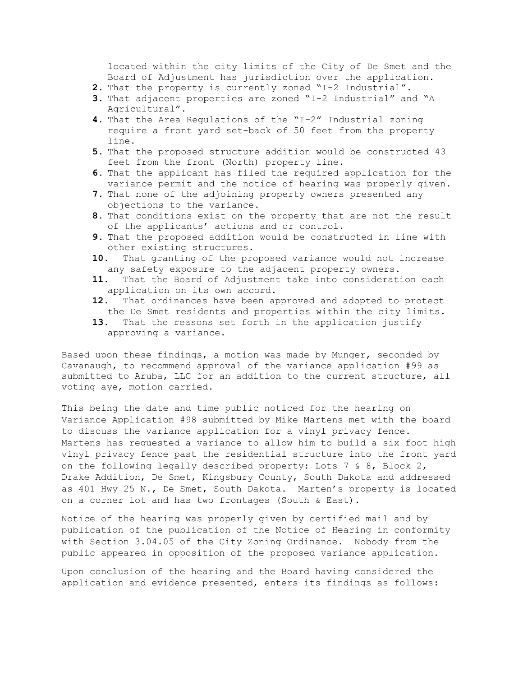located within the city limits of the City of De Smet and the Board of Adjustment has jurisdiction over the application.

- **2.** That the property is currently zoned "I-2 Industrial".
- **3.** That adjacent properties are zoned "I-2 Industrial" and "A Agricultural".
- **4.** That the Area Regulations of the "I-2" Industrial zoning require a front yard set-back of 50 feet from the property line.
- **5.** That the proposed structure addition would be constructed 43 feet from the front (North) property line.
- **6.** That the applicant has filed the required application for the variance permit and the notice of hearing was properly given.
- **7.** That none of the adjoining property owners presented any objections to the variance.
- **8.** That conditions exist on the property that are not the result of the applicants' actions and or control.
- **9.** That the proposed addition would be constructed in line with other existing structures.
- **10.** That granting of the proposed variance would not increase any safety exposure to the adjacent property owners.
- **11.** That the Board of Adjustment take into consideration each application on its own accord.
- **12.** That ordinances have been approved and adopted to protect the De Smet residents and properties within the city limits.
- **13.** That the reasons set forth in the application justify approving a variance.

Based upon these findings, a motion was made by Munger, seconded by Cavanaugh, to recommend approval of the variance application #99 as submitted to Aruba, LLC for an addition to the current structure, all voting aye, motion carried.

This being the date and time public noticed for the hearing on Variance Application #98 submitted by Mike Martens met with the board to discuss the variance application for a vinyl privacy fence. Martens has requested a variance to allow him to build a six foot high vinyl privacy fence past the residential structure into the front yard on the following legally described property: Lots 7 & 8, Block 2, Drake Addition, De Smet, Kingsbury County, South Dakota and addressed as 401 Hwy 25 N., De Smet, South Dakota. Marten's property is located on a corner lot and has two frontages (South & East).

Notice of the hearing was properly given by certified mail and by publication of the publication of the Notice of Hearing in conformity with Section 3.04.05 of the City Zoning Ordinance. Nobody from the public appeared in opposition of the proposed variance application.

Upon conclusion of the hearing and the Board having considered the application and evidence presented, enters its findings as follows: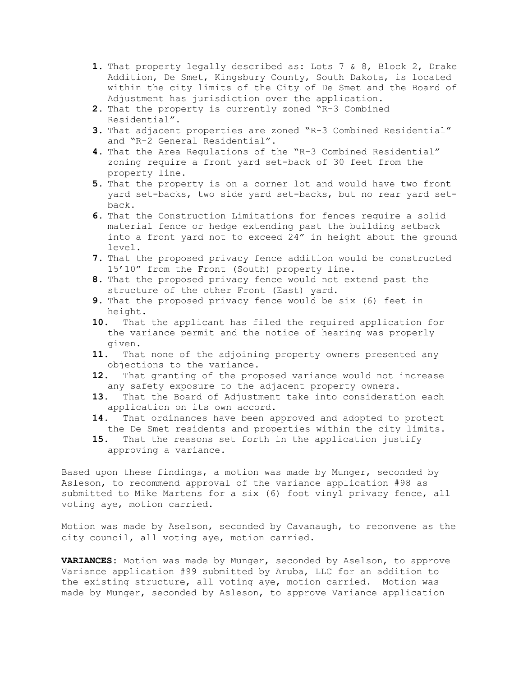- **1.** That property legally described as: Lots 7 & 8, Block 2, Drake Addition, De Smet, Kingsbury County, South Dakota, is located within the city limits of the City of De Smet and the Board of Adjustment has jurisdiction over the application.
- **2.** That the property is currently zoned "R-3 Combined Residential".
- **3.** That adjacent properties are zoned "R-3 Combined Residential" and "R-2 General Residential".
- **4.** That the Area Regulations of the "R-3 Combined Residential" zoning require a front yard set-back of 30 feet from the property line.
- **5.** That the property is on a corner lot and would have two front yard set-backs, two side yard set-backs, but no rear yard setback.
- **6.** That the Construction Limitations for fences require a solid material fence or hedge extending past the building setback into a front yard not to exceed 24" in height about the ground level.
- **7.** That the proposed privacy fence addition would be constructed 15'10" from the Front (South) property line.
- **8.** That the proposed privacy fence would not extend past the structure of the other Front (East) yard.
- **9.** That the proposed privacy fence would be six (6) feet in height.
- **10.** That the applicant has filed the required application for the variance permit and the notice of hearing was properly given.
- **11.** That none of the adjoining property owners presented any objections to the variance.
- **12.** That granting of the proposed variance would not increase any safety exposure to the adjacent property owners.
- **13.** That the Board of Adjustment take into consideration each application on its own accord.
- **14.** That ordinances have been approved and adopted to protect the De Smet residents and properties within the city limits.
- **15.** That the reasons set forth in the application justify approving a variance.

Based upon these findings, a motion was made by Munger, seconded by Asleson, to recommend approval of the variance application #98 as submitted to Mike Martens for a six (6) foot vinyl privacy fence, all voting aye, motion carried.

Motion was made by Aselson, seconded by Cavanaugh, to reconvene as the city council, all voting aye, motion carried.

**VARIANCES:** Motion was made by Munger, seconded by Aselson, to approve Variance application #99 submitted by Aruba, LLC for an addition to the existing structure, all voting aye, motion carried. Motion was made by Munger, seconded by Asleson, to approve Variance application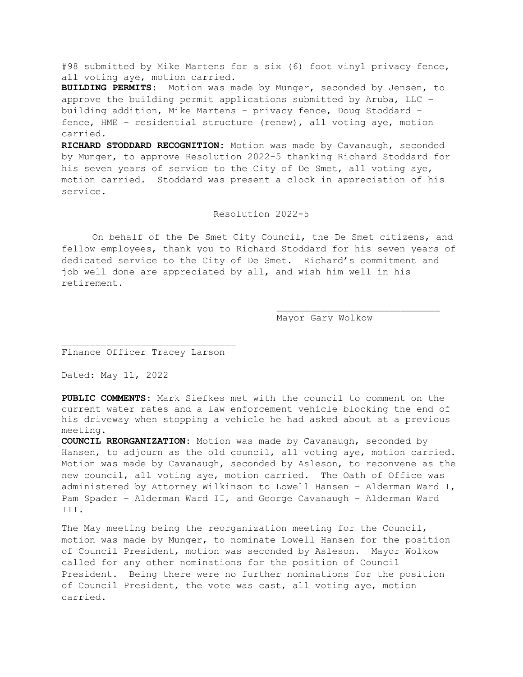#98 submitted by Mike Martens for a six (6) foot vinyl privacy fence, all voting aye, motion carried.

**BUILDING PERMITS:** Motion was made by Munger, seconded by Jensen, to approve the building permit applications submitted by Aruba, LLC – building addition, Mike Martens – privacy fence, Doug Stoddard – fence, HME – residential structure (renew), all voting aye, motion carried.

**RICHARD STODDARD RECOGNITION:** Motion was made by Cavanaugh, seconded by Munger, to approve Resolution 2022-5 thanking Richard Stoddard for his seven years of service to the City of De Smet, all voting aye, motion carried. Stoddard was present a clock in appreciation of his service.

## Resolution 2022-5

On behalf of the De Smet City Council, the De Smet citizens, and fellow employees, thank you to Richard Stoddard for his seven years of dedicated service to the City of De Smet. Richard's commitment and job well done are appreciated by all, and wish him well in his retirement.

Mayor Gary Wolkow

Finance Officer Tracey Larson

Dated: May 11, 2022

**PUBLIC COMMENTS:** Mark Siefkes met with the council to comment on the current water rates and a law enforcement vehicle blocking the end of his driveway when stopping a vehicle he had asked about at a previous meeting.

**COUNCIL REORGANIZATION:** Motion was made by Cavanaugh, seconded by Hansen, to adjourn as the old council, all voting aye, motion carried. Motion was made by Cavanaugh, seconded by Asleson, to reconvene as the new council, all voting aye, motion carried. The Oath of Office was administered by Attorney Wilkinson to Lowell Hansen – Alderman Ward I, Pam Spader – Alderman Ward II, and George Cavanaugh – Alderman Ward III.

The May meeting being the reorganization meeting for the Council, motion was made by Munger, to nominate Lowell Hansen for the position of Council President, motion was seconded by Asleson. Mayor Wolkow called for any other nominations for the position of Council President. Being there were no further nominations for the position of Council President, the vote was cast, all voting aye, motion carried.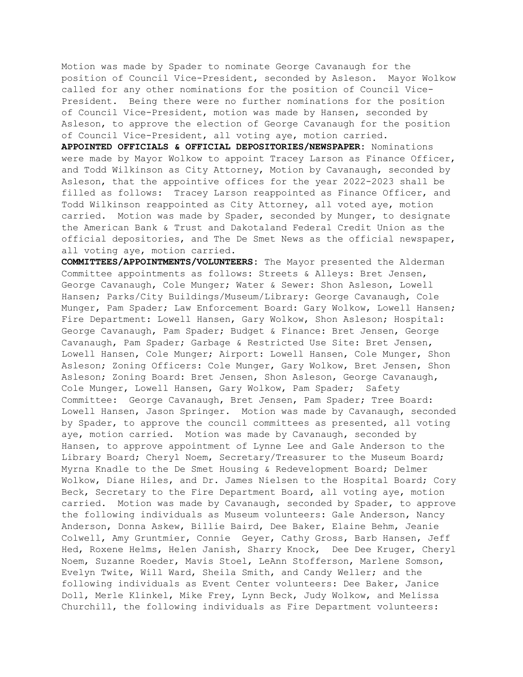Motion was made by Spader to nominate George Cavanaugh for the position of Council Vice-President, seconded by Asleson. Mayor Wolkow called for any other nominations for the position of Council Vice-President. Being there were no further nominations for the position of Council Vice-President, motion was made by Hansen, seconded by Asleson, to approve the election of George Cavanaugh for the position of Council Vice-President, all voting aye, motion carried.

**APPOINTED OFFICIALS & OFFICIAL DEPOSITORIES/NEWSPAPER:** Nominations were made by Mayor Wolkow to appoint Tracey Larson as Finance Officer, and Todd Wilkinson as City Attorney, Motion by Cavanaugh, seconded by Asleson, that the appointive offices for the year 2022-2023 shall be filled as follows: Tracey Larson reappointed as Finance Officer, and Todd Wilkinson reappointed as City Attorney, all voted aye, motion carried. Motion was made by Spader, seconded by Munger, to designate the American Bank & Trust and Dakotaland Federal Credit Union as the official depositories, and The De Smet News as the official newspaper, all voting aye, motion carried.

**COMMITTEES/APPOINTMENTS/VOLUNTEERS:** The Mayor presented the Alderman Committee appointments as follows: Streets & Alleys: Bret Jensen, George Cavanaugh, Cole Munger; Water & Sewer: Shon Asleson, Lowell Hansen; Parks/City Buildings/Museum/Library: George Cavanaugh, Cole Munger, Pam Spader; Law Enforcement Board: Gary Wolkow, Lowell Hansen; Fire Department: Lowell Hansen, Gary Wolkow, Shon Asleson; Hospital: George Cavanaugh, Pam Spader; Budget & Finance: Bret Jensen, George Cavanaugh, Pam Spader; Garbage & Restricted Use Site: Bret Jensen, Lowell Hansen, Cole Munger; Airport: Lowell Hansen, Cole Munger, Shon Asleson; Zoning Officers: Cole Munger, Gary Wolkow, Bret Jensen, Shon Asleson; Zoning Board: Bret Jensen, Shon Asleson, George Cavanaugh, Cole Munger, Lowell Hansen, Gary Wolkow, Pam Spader; Safety Committee: George Cavanaugh, Bret Jensen, Pam Spader; Tree Board: Lowell Hansen, Jason Springer. Motion was made by Cavanaugh, seconded by Spader, to approve the council committees as presented, all voting aye, motion carried. Motion was made by Cavanaugh, seconded by Hansen, to approve appointment of Lynne Lee and Gale Anderson to the Library Board; Cheryl Noem, Secretary/Treasurer to the Museum Board; Myrna Knadle to the De Smet Housing & Redevelopment Board; Delmer Wolkow, Diane Hiles, and Dr. James Nielsen to the Hospital Board; Cory Beck, Secretary to the Fire Department Board, all voting aye, motion carried. Motion was made by Cavanaugh, seconded by Spader, to approve the following individuals as Museum volunteers: Gale Anderson, Nancy Anderson, Donna Askew, Billie Baird, Dee Baker, Elaine Behm, Jeanie Colwell, Amy Gruntmier, Connie Geyer, Cathy Gross, Barb Hansen, Jeff Hed, Roxene Helms, Helen Janish, Sharry Knock, Dee Dee Kruger, Cheryl Noem, Suzanne Roeder, Mavis Stoel, LeAnn Stofferson, Marlene Somson, Evelyn Twite, Will Ward, Sheila Smith, and Candy Weller; and the following individuals as Event Center volunteers: Dee Baker, Janice Doll, Merle Klinkel, Mike Frey, Lynn Beck, Judy Wolkow, and Melissa Churchill, the following individuals as Fire Department volunteers: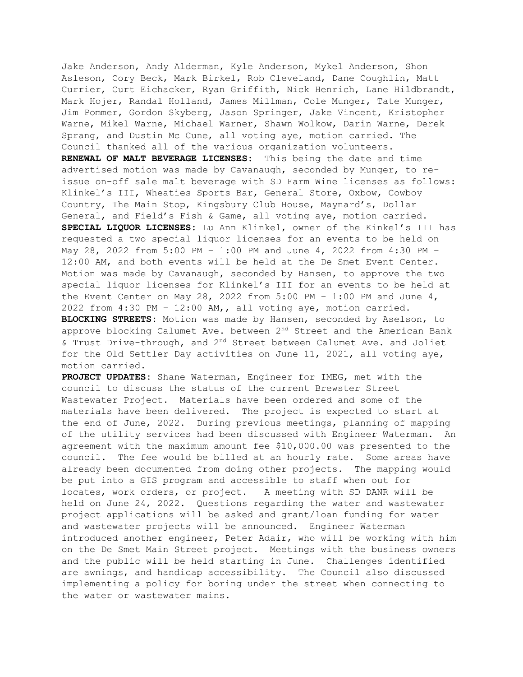Jake Anderson, Andy Alderman, Kyle Anderson, Mykel Anderson, Shon Asleson, Cory Beck, Mark Birkel, Rob Cleveland, Dane Coughlin, Matt Currier, Curt Eichacker, Ryan Griffith, Nick Henrich, Lane Hildbrandt, Mark Hojer, Randal Holland, James Millman, Cole Munger, Tate Munger, Jim Pommer, Gordon Skyberg, Jason Springer, Jake Vincent, Kristopher Warne, Mikel Warne, Michael Warner, Shawn Wolkow, Darin Warne, Derek Sprang, and Dustin Mc Cune, all voting aye, motion carried. The Council thanked all of the various organization volunteers.

**RENEWAL OF MALT BEVERAGE LICENSES:** This being the date and time advertised motion was made by Cavanaugh, seconded by Munger, to reissue on-off sale malt beverage with SD Farm Wine licenses as follows: Klinkel's III, Wheaties Sports Bar, General Store, Oxbow, Cowboy Country, The Main Stop, Kingsbury Club House, Maynard's, Dollar General, and Field's Fish & Game, all voting aye, motion carried. **SPECIAL LIQUOR LICENSES:** Lu Ann Klinkel, owner of the Kinkel's III has requested a two special liquor licenses for an events to be held on May 28, 2022 from 5:00 PM – 1:00 PM and June 4, 2022 from 4:30 PM – 12:00 AM, and both events will be held at the De Smet Event Center. Motion was made by Cavanaugh, seconded by Hansen, to approve the two special liquor licenses for Klinkel's III for an events to be held at the Event Center on May 28, 2022 from 5:00 PM - 1:00 PM and June  $4$ , 2022 from 4:30 PM – 12:00 AM,, all voting aye, motion carried. **BLOCKING STREETS:** Motion was made by Hansen, seconded by Aselson, to approve blocking Calumet Ave. between 2nd Street and the American Bank & Trust Drive-through, and 2nd Street between Calumet Ave. and Joliet for the Old Settler Day activities on June 11, 2021, all voting aye, motion carried.

**PROJECT UPDATES:** Shane Waterman, Engineer for IMEG, met with the council to discuss the status of the current Brewster Street Wastewater Project. Materials have been ordered and some of the materials have been delivered. The project is expected to start at the end of June, 2022. During previous meetings, planning of mapping of the utility services had been discussed with Engineer Waterman. An agreement with the maximum amount fee \$10,000.00 was presented to the council. The fee would be billed at an hourly rate. Some areas have already been documented from doing other projects. The mapping would be put into a GIS program and accessible to staff when out for locates, work orders, or project. A meeting with SD DANR will be held on June 24, 2022. Questions regarding the water and wastewater project applications will be asked and grant/loan funding for water and wastewater projects will be announced. Engineer Waterman introduced another engineer, Peter Adair, who will be working with him on the De Smet Main Street project. Meetings with the business owners and the public will be held starting in June. Challenges identified are awnings, and handicap accessibility. The Council also discussed implementing a policy for boring under the street when connecting to the water or wastewater mains.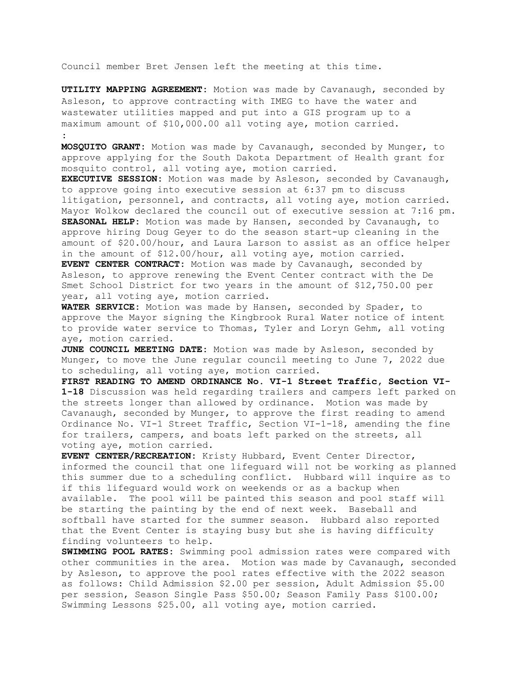Council member Bret Jensen left the meeting at this time.

**UTILITY MAPPING AGREEMENT:** Motion was made by Cavanaugh, seconded by Asleson, to approve contracting with IMEG to have the water and wastewater utilities mapped and put into a GIS program up to a maximum amount of \$10,000.00 all voting aye, motion carried. **:** 

**MOSQUITO GRANT:** Motion was made by Cavanaugh, seconded by Munger, to approve applying for the South Dakota Department of Health grant for mosquito control, all voting aye, motion carried.

**EXECUTIVE SESSION:** Motion was made by Asleson, seconded by Cavanaugh, to approve going into executive session at 6:37 pm to discuss litigation, personnel, and contracts, all voting aye, motion carried. Mayor Wolkow declared the council out of executive session at 7:16 pm. **SEASONAL HELP:** Motion was made by Hansen, seconded by Cavanaugh, to approve hiring Doug Geyer to do the season start-up cleaning in the amount of \$20.00/hour, and Laura Larson to assist as an office helper in the amount of \$12.00/hour, all voting aye, motion carried. **EVENT CENTER CONTRACT:** Motion was made by Cavanaugh, seconded by Asleson, to approve renewing the Event Center contract with the De Smet School District for two years in the amount of \$12,750.00 per year, all voting aye, motion carried.

**WATER SERVICE:** Motion was made by Hansen, seconded by Spader, to approve the Mayor signing the Kingbrook Rural Water notice of intent to provide water service to Thomas, Tyler and Loryn Gehm, all voting aye, motion carried.

**JUNE COUNCIL MEETING DATE:** Motion was made by Asleson, seconded by Munger, to move the June regular council meeting to June 7, 2022 due to scheduling, all voting aye, motion carried.

**FIRST READING TO AMEND ORDINANCE No. VI-1 Street Traffic, Section VI-1-18** Discussion was held regarding trailers and campers left parked on the streets longer than allowed by ordinance. Motion was made by Cavanaugh, seconded by Munger, to approve the first reading to amend Ordinance No. VI-1 Street Traffic, Section VI-1-18, amending the fine for trailers, campers, and boats left parked on the streets, all voting aye, motion carried.

**EVENT CENTER/RECREATION:** Kristy Hubbard, Event Center Director, informed the council that one lifeguard will not be working as planned this summer due to a scheduling conflict. Hubbard will inquire as to if this lifeguard would work on weekends or as a backup when available. The pool will be painted this season and pool staff will be starting the painting by the end of next week. Baseball and softball have started for the summer season. Hubbard also reported that the Event Center is staying busy but she is having difficulty finding volunteers to help.

**SWIMMING POOL RATES:** Swimming pool admission rates were compared with other communities in the area. Motion was made by Cavanaugh, seconded by Asleson, to approve the pool rates effective with the 2022 season as follows: Child Admission \$2.00 per session, Adult Admission \$5.00 per session, Season Single Pass \$50.00; Season Family Pass \$100.00; Swimming Lessons \$25.00, all voting aye, motion carried.